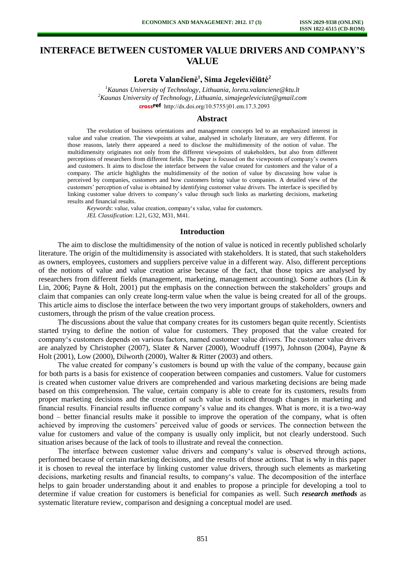# **INTERFACE BETWEEN CUSTOMER VALUE DRIVERS AND COMPANY'S VALUE**

## **Loreta Valančienė<sup>1</sup> , Sima Jegelevičiūtė<sup>2</sup>**

*<sup>1</sup>Kaunas University of Technology, Lithuania, loreta.valanciene@ktu.lt <sup>2</sup>Kaunas University of Technology, Lithuania, simajegeleviciute@gmail.com* cross<sup>ref</sup> [http://dx.doi.org/10.5755/j01.e](http://dx.doi.org/10.5755/j01.em.17.3.2093)m.17.3.2093

### **Abstract**

The evolution of business orientations and management concepts led to an emphasized interest in value and value creation. The viewpoints at value, analysed in scholarly literature, are very different. For those reasons, lately there appeared a need to disclose the multidimensity of the notion of value. The multidimensity originates not only from the different viewpoints of stakeholders, but also from different perceptions of researchers from different fields. The paper is focused on the viewpoints of company's owners and customers. It aims to disclose the interface between the value created for customers and the value of a company. The article highlights the multidimensity of the notion of value by discussing how value is perceived by companies, customers and how customers bring value to companies. A detailed view of the customers' perception of value is obtained by identifying customer value drivers. The interface is specified by linking customer value drivers to company's value through such links as marketing decisions, marketing results and financial results.

*Keywords*: value, value creation, company's value, value for customers. *JEL Classification*: L21, G32, M31, M41.

## **Introduction**

The aim to disclose the multidimensity of the notion of value is noticed in recently published scholarly literature. The origin of the multidimensity is associated with stakeholders. It is stated, that such stakeholders as owners, employees, customers and suppliers perceive value in a different way. Also, different perceptions of the notions of value and value creation arise because of the fact, that those topics are analysed by researchers from different fields (management, marketing, management accounting). Some authors (Lin & Lin, 2006; Payne & Holt, 2001) put the emphasis on the connection between the stakeholders' groups and claim that companies can only create long-term value when the value is being created for all of the groups. This article aims to disclose the interface between the two very important groups of stakeholders, owners and customers, through the prism of the value creation process.

The discussions about the value that company creates for its customers began quite recently. Scientists started trying to define the notion of value for customers. They proposed that the value created for company's customers depends on various factors, named customer value drivers. The customer value drivers are analyzed by Christopher (2007), Slater & Narver (2000), Woodruff (1997), Johnson (2004), Payne & Holt (2001), Low (2000), Dilworth (2000), Walter & Ritter (2003) and others.

The value created for company's customers is bound up with the value of the company, because gain for both parts is a basis for existence of cooperation between companies and customers. Value for customers is created when customer value drivers are comprehended and various marketing decisions are being made based on this comprehension. The value, certain company is able to create for its customers, results from proper marketing decisions and the creation of such value is noticed through changes in marketing and financial results. Financial results influence company's value and its changes. What is more, it is a two-way bond – better financial results make it possible to improve the operation of the company, what is often achieved by improving the customers' perceived value of goods or services. The connection between the value for customers and value of the company is usually only implicit, but not clearly understood. Such situation arises because of the lack of tools to illustrate and reveal the connection.

The interface between customer value drivers and company's value is observed through actions, performed because of certain marketing decisions, and the results of those actions. That is why in this paper it is chosen to reveal the interface by linking customer value drivers, through such elements as marketing decisions, marketing results and financial results, to company's value. The decomposition of the interface helps to gain broader understanding about it and enables to propose a principle for developing a tool to determine if value creation for customers is beneficial for companies as well. Such *research methods* as systematic literature review, comparison and designing a conceptual model are used.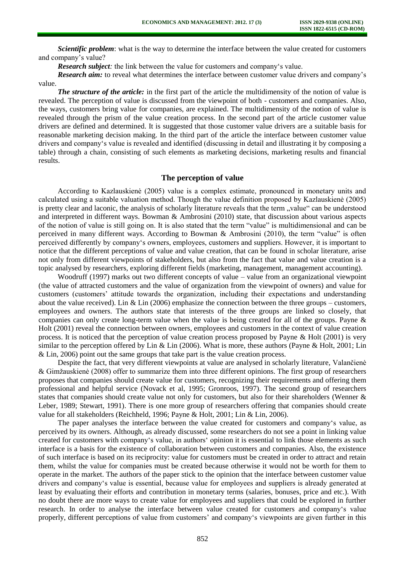*Scientific problem*: what is the way to determine the interface between the value created for customers and company's value?

*Research subject:* the link between the value for customers and company's value.

**Research aim:** to reveal what determines the interface between customer value drivers and company's value.

*The structure of the article:* in the first part of the article the multidimensity of the notion of value is revealed. The perception of value is discussed from the viewpoint of both - customers and companies. Also, the ways, customers bring value for companies, are explained. The multidimensity of the notion of value is revealed through the prism of the value creation process. In the second part of the article customer value drivers are defined and determined. It is suggested that those customer value drivers are a suitable basis for reasonable marketing decision making. In the third part of the article the interface between customer value drivers and company's value is revealed and identified (discussing in detail and illustrating it by composing a table) through a chain, consisting of such elements as marketing decisions, marketing results and financial results.

## **The perception of value**

According to Kazlauskienė (2005) value is a complex estimate, pronounced in monetary units and calculated using a suitable valuation method. Though the value definition proposed by Kazlauskienė (2005) is pretty clear and laconic, the analysis of scholarly literature reveals that the term "value" can be understood and interpreted in different ways. Bowman & Ambrosini (2010) state, that discussion about various aspects of the notion of value is still going on. It is also stated that the term "value" is multidimensional and can be perceived in many different ways. According to Bowman & Ambrosini (2010), the term "value" is often perceived differently by company's owners, employees, customers and suppliers. However, it is important to notice that the different perceptions of value and value creation, that can be found in scholar literature, arise not only from different viewpoints of stakeholders, but also from the fact that value and value creation is a topic analysed by researchers, exploring different fields (marketing, management, management accounting).

Woodruff (1997) marks out two different concepts of value – value from an organizational viewpoint (the value of attracted customers and the value of organization from the viewpoint of owners) and value for customers (customers' attitude towards the organization, including their expectations and understanding about the value received). Lin & Lin  $(2006)$  emphasize the connection between the three groups – customers, employees and owners. The authors state that interests of the three groups are linked so closely, that companies can only create long-term value when the value is being created for all of the groups. Payne & Holt (2001) reveal the connection between owners, employees and customers in the context of value creation process. It is noticed that the perception of value creation process proposed by Payne & Holt (2001) is very similar to the perception offered by Lin & Lin (2006). What is more, these authors (Payne & Holt, 2001; Lin & Lin, 2006) point out the same groups that take part is the value creation process.

Despite the fact, that very different viewpoints at value are analysed in scholarly literature, Valančienė & Gimžauskienė (2008) offer to summarize them into three different opinions. The first group of researchers proposes that companies should create value for customers, recognizing their requirements and offering them professional and helpful service (Novack et al, 1995; Gronroos, 1997). The second group of researchers states that companies should create value not only for customers, but also for their shareholders (Wenner & Leber, 1989; Stewart, 1991). There is one more group of researchers offering that companies should create value for all stakeholders (Reichheld, 1996; Payne & Holt, 2001; Lin & Lin, 2006).

The paper analyses the interface between the value created for customers and company's value, as perceived by its owners. Although, as already discussed, some researchers do not see a point in linking value created for customers with company's value, in authors' opinion it is essential to link those elements as such interface is a basis for the existence of collaboration between customers and companies. Also, the existence of such interface is based on its reciprocity: value for customers must be created in order to attract and retain them, whilst the value for companies must be created because otherwise it would not be worth for them to operate in the market. The authors of the paper stick to the opinion that the interface between customer value drivers and company's value is essential, because value for employees and suppliers is already generated at least by evaluating their efforts and contribution in monetary terms (salaries, bonuses, price and etc.). With no doubt there are more ways to create value for employees and suppliers that could be explored in further research. In order to analyse the interface between value created for customers and company's value properly, different perceptions of value from customers' and company's viewpoints are given further in this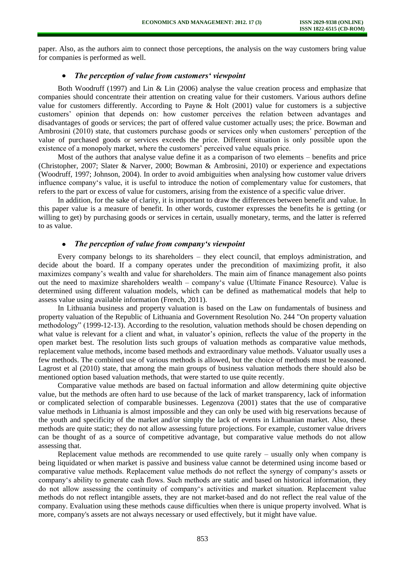paper. Also, as the authors aim to connect those perceptions, the analysis on the way customers bring value for companies is performed as well.

## *The perception of value from customers' viewpoint*

Both Woodruff (1997) and Lin & Lin (2006) analyse the value creation process and emphasize that companies should concentrate their attention on creating value for their customers. Various authors define value for customers differently. According to Payne & Holt (2001) value for customers is a subjective customers' opinion that depends on: how customer perceives the relation between advantages and disadvantages of goods or services; the part of offered value customer actually uses; the price. Bowman and Ambrosini (2010) state, that customers purchase goods or services only when customers' perception of the value of purchased goods or services exceeds the price. Different situation is only possible upon the existence of a monopoly market, where the customers' perceived value equals price.

Most of the authors that analyse value define it as a comparison of two elements – benefits and price (Christopher, 2007; Slater & Narver, 2000; Bowman & Ambrosini, 2010) or experience and expectations (Woodruff, 1997; Johnson, 2004). In order to avoid ambiguities when analysing how customer value drivers influence company's value, it is useful to introduce the notion of complementary value for customers, that refers to the part or excess of value for customers, arising from the existence of a specific value driver.

In addition, for the sake of clarity, it is important to draw the differences between benefit and value. In this paper value is a measure of benefit. In other words, customer expresses the benefits he is getting (or willing to get) by purchasing goods or services in certain, usually monetary, terms, and the latter is referred to as value.

#### $\bullet$ *The perception of value from company's viewpoint*

Every company belongs to its shareholders – they elect council, that employs administration, and decide about the board. If a company operates under the precondition of maximizing profit, it also maximizes company's wealth and value for shareholders. The main aim of finance management also points out the need to maximize shareholders wealth – company's value (Ultimate Finance Resource). Value is determined using different valuation models, which can be defined as mathematical models that help to assess value using available information (French, 2011).

In Lithuania business and property valuation is based on the Law on fundamentals of business and property valuation of the Republic of Lithuania and Government Resolution No. 244 "On property valuation methodology" (1999-12-13). According to the resolution, valuation methods should be chosen depending on what value is relevant for a client and what, in valuator's opinion, reflects the value of the property in the open market best. The resolution lists such groups of valuation methods as comparative value methods, replacement value methods, income based methods and extraordinary value methods. Valuator usually uses a few methods. The combined use of various methods is allowed, but the choice of methods must be reasoned. Lagrost et al (2010) state, that among the main groups of business valuation methods there should also be mentioned option based valuation methods, that were started to use quite recently.

Comparative value methods are based on factual information and allow determining quite objective value, but the methods are often hard to use because of the lack of market transparency, lack of information or complicated selection of comparable businesses. Legenzova (2001) states that the use of comparative value methods in Lithuania is almost impossible and they can only be used with big reservations because of the youth and specificity of the market and/or simply the lack of events in Lithuanian market. Also, these methods are quite static; they do not allow assessing future projections. For example, customer value drivers can be thought of as a source of competitive advantage, but comparative value methods do not allow assessing that.

Replacement value methods are recommended to use quite rarely – usually only when company is being liquidated or when market is passive and business value cannot be determined using income based or comparative value methods. Replacement value methods do not reflect the synergy of company's assets or company's ability to generate cash flows. Such methods are static and based on historical information, they do not allow assessing the continuity of company's activities and market situation. Replacement value methods do not reflect intangible assets, they are not market-based and do not reflect the real value of the company. Evaluation using these methods cause difficulties when there is unique property involved. What is more, company's assets are not always necessary or used effectively, but it might have value.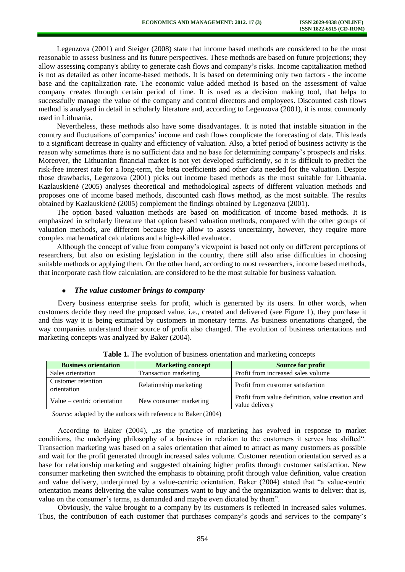Legenzova (2001) and Steiger (2008) state that income based methods are considered to be the most reasonable to assess business and its future perspectives. These methods are based on future projections; they allow assessing company's ability to generate cash flows and company's risks. Income capitalization method is not as detailed as other income-based methods. It is based on determining only two factors - the income base and the capitalization rate. The economic value added method is based on the assessment of value company creates through certain period of time. It is used as a decision making tool, that helps to successfully manage the value of the company and control directors and employees. Discounted cash flows method is analysed in detail in scholarly literature and, according to Legenzova (2001), it is most commonly used in Lithuania.

Nevertheless, these methods also have some disadvantages. It is noted that instable situation in the country and fluctuations of companies' income and cash flows complicate the forecasting of data. This leads to a significant decrease in quality and efficiency of valuation. Also, a brief period of business activity is the reason why sometimes there is no sufficient data and no base for determining company's prospects and risks. Moreover, the Lithuanian financial market is not yet developed sufficiently, so it is difficult to predict the risk-free interest rate for a long-term, the beta coefficients and other data needed for the valuation. Despite those drawbacks, Legenzova (2001) picks out income based methods as the most suitable for Lithuania. Kazlauskienė (2005) analyses theoretical and methodological aspects of different valuation methods and proposes one of income based methods, discounted cash flows method, as the most suitable. The results obtained by Kazlauskienė (2005) complement the findings obtained by Legenzova (2001).

The option based valuation methods are based on modification of income based methods. It is emphasized in scholarly literature that option based valuation methods, compared with the other groups of valuation methods, are different because they allow to assess uncertainty, however, they require more complex mathematical calculations and a high-skilled evaluator.

Although the concept of value from company's viewpoint is based not only on different perceptions of researchers, but also on existing legislation in the country, there still also arise difficulties in choosing suitable methods or applying them. On the other hand, according to most researchers, income based methods, that incorporate cash flow calculation, are considered to be the most suitable for business valuation.

#### *The value customer brings to company*   $\bullet$

Every business enterprise seeks for profit, which is generated by its users. In other words, when customers decide they need the proposed value, i.e., created and delivered (see Figure 1), they purchase it and this way it is being estimated by customers in monetary terms. As business orientations changed, the way companies understand their source of profit also changed. The evolution of business orientations and marketing concepts was analyzed by Baker (2004).

| <b>Business orientation</b>       | <b>Marketing concept</b> | <b>Source for profit</b>                                           |  |
|-----------------------------------|--------------------------|--------------------------------------------------------------------|--|
| Sales orientation                 | Transaction marketing    | Profit from increased sales volume                                 |  |
| Customer retention<br>orientation | Relationship marketing   | Profit from customer satisfaction                                  |  |
| Value – centric orientation       | New consumer marketing   | Profit from value definition, value creation and<br>value delivery |  |

**Table 1.** The evolution of business orientation and marketing concepts

*Source*: adapted by the authors with reference to Baker (2004)

According to Baker (2004), "as the practice of marketing has evolved in response to market conditions, the underlying philosophy of a business in relation to the customers it serves has shifted". Transaction marketing was based on a sales orientation that aimed to attract as many customers as possible and wait for the profit generated through increased sales volume. Customer retention orientation served as a base for relationship marketing and suggested obtaining higher profits through customer satisfaction. New consumer marketing then switched the emphasis to obtaining profit through value definition, value creation and value delivery, underpinned by a value-centric orientation. Baker (2004) stated that "a value-centric orientation means delivering the value consumers want to buy and the organization wants to deliver: that is, value on the consumer's terms, as demanded and maybe even dictated by them".

Obviously, the value brought to a company by its customers is reflected in increased sales volumes. Thus, the contribution of each customer that purchases company's goods and services to the company's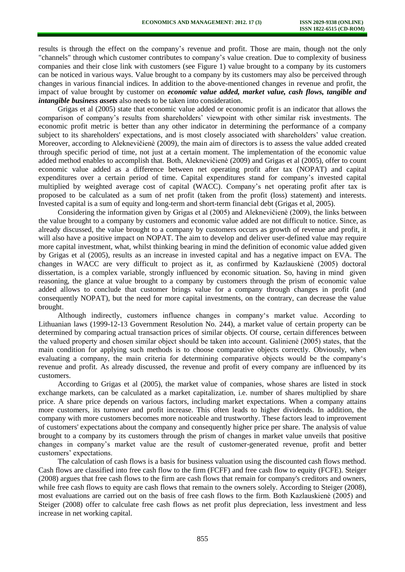results is through the effect on the company's revenue and profit. Those are main, though not the only "channels" through which customer contributes to company's value creation. Due to complexity of business companies and their close link with customers (see Figure 1) value brought to a company by its customers can be noticed in various ways. Value brought to a company by its customers may also be perceived through changes in various financial indices. In addition to the above-mentioned changes in revenue and profit, the impact of value brought by customer on *economic value added, market value, cash flows, tangible and intangible business assets* also needs to be taken into consideration.

Grigas et al (2005) state that economic value added or economic profit is an indicator that allows the comparison of company's results from shareholders' viewpoint with other similar risk investments. The economic profit metric is better than any other indicator in determining the performance of a company subject to its shareholders' expectations, and is most closely associated with shareholders' value creation. Moreover, according to Aleknevičienė (2009), the main aim of directors is to assess the value added created through specific period of time, not just at a certain moment. The implementation of the economic value added method enables to accomplish that. Both, Aleknevičienė (2009) and Grigas et al (2005), offer to count economic value added as a difference between net operating profit after tax (NOPAT) and capital expenditures over a certain period of time. Capital expenditures stand for company's invested capital multiplied by weighted average cost of capital (WACC). Company's net operating profit after tax is proposed to be calculated as a sum of net profit (taken from the profit (loss) statement) and interests. Invested capital is a sum of equity and long-term and short-term financial debt (Grigas et al, 2005).

Considering the information given by Grigas et al (2005) and Aleknevičienė (2009), the links between the value brought to a company by customers and economic value added are not difficult to notice. Since, as already discussed, the value brought to a company by customers occurs as growth of revenue and profit, it will also have a positive impact on NOPAT. The aim to develop and deliver user-defined value may require more capital investment, what, whilst thinking bearing in mind the definition of economic value added given by Grigas et al (2005), results as an increase in invested capital and has a negative impact on EVA. The changes in WACC are very difficult to project as it, as confirmed by Kazlauskienė (2005) doctoral dissertation, is a complex variable, strongly influenced by economic situation. So, having in mind given reasoning, the glance at value brought to a company by customers through the prism of economic value added allows to conclude that customer brings value for a company through changes in profit (and consequently NOPAT), but the need for more capital investments, on the contrary, can decrease the value brought.

Although indirectly, customers influence changes in company's market value. According to Lithuanian laws (1999-12-13 Government Resolution No. 244), a market value of certain property can be determined by comparing actual transaction prices of similar objects. Of course, certain differences between the valued property and chosen similar object should be taken into account. Galinienė (2005) states, that the main condition for applying such methods is to choose comparative objects correctly. Obviously, when evaluating a company, the main criteria for determining comparative objects would be the company's revenue and profit. As already discussed, the revenue and profit of every company are influenced by its customers.

According to Grigas et al (2005), the market value of companies, whose shares are listed in stock exchange markets, can be calculated as a market capitalization, i.e. number of shares multiplied by share price. A share price depends on various factors, including market expectations. When a company attains more customers, its turnover and profit increase. This often leads to higher dividends. In addition, the company with more customers becomes more noticeable and trustworthy. These factors lead to improvement of customers' expectations about the company and consequently higher price per share. The analysis of value brought to a company by its customers through the prism of changes in market value unveils that positive changes in company's market value are the result of customer-generated revenue, profit and better customers' expectations.

The calculation of cash flows is a basis for business valuation using the discounted cash flows method. Cash flows are classified into free cash flow to the firm (FCFF) and free cash flow to equity (FCFE). Steiger (2008) argues that free cash flows to the firm are cash flows that remain for company's creditors and owners, while free cash flows to equity are cash flows that remain to the owners solely. According to Steiger (2008), most evaluations are carried out on the basis of free cash flows to the firm. Both Kazlauskienė (2005) and Steiger (2008) offer to calculate free cash flows as net profit plus depreciation, less investment and less increase in net working capital.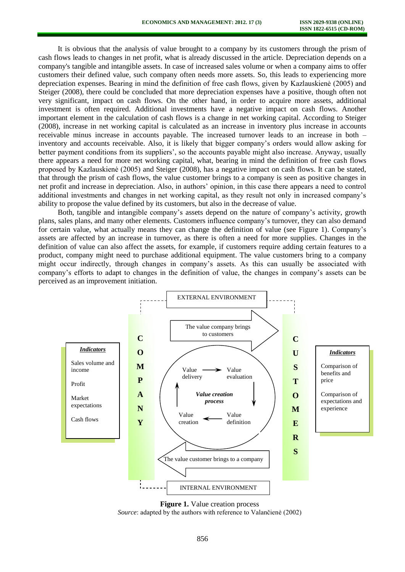It is obvious that the analysis of value brought to a company by its customers through the prism of cash flows leads to changes in net profit, what is already discussed in the article. Depreciation depends on a company's tangible and intangible assets. In case of increased sales volume or when a company aims to offer customers their defined value, such company often needs more assets. So, this leads to experiencing more depreciation expenses. Bearing in mind the definition of free cash flows, given by Kazlauskienė (2005) and Steiger (2008), there could be concluded that more depreciation expenses have a positive, though often not very significant, impact on cash flows. On the other hand, in order to acquire more assets, additional investment is often required. Additional investments have a negative impact on cash flows. Another important element in the calculation of cash flows is a change in net working capital. According to Steiger (2008), increase in net working capital is calculated as an increase in inventory plus increase in accounts receivable minus increase in accounts payable. The increased turnover leads to an increase in both – inventory and accounts receivable. Also, it is likely that bigger company's orders would allow asking for better payment conditions from its suppliers', so the accounts payable might also increase. Anyway, usually there appears a need for more net working capital, what, bearing in mind the definition of free cash flows proposed by Kazlauskienė (2005) and Steiger (2008), has a negative impact on cash flows. It can be stated, that through the prism of cash flows, the value customer brings to a company is seen as positive changes in net profit and increase in depreciation. Also, in authors' opinion, in this case there appears a need to control additional investments and changes in net working capital, as they result not only in increased company's ability to propose the value defined by its customers, but also in the decrease of value.

Both, tangible and intangible company's assets depend on the nature of company's activity, growth plans, sales plans, and many other elements. Customers influence company's turnover, they can also demand for certain value, what actually means they can change the definition of value (see Figure 1). Company's assets are affected by an increase in turnover, as there is often a need for more supplies. Changes in the definition of value can also affect the assets, for example, if customers require adding certain features to a product, company might need to purchase additional equipment. The value customers bring to a company might occur indirectly, through changes in company's assets. As this can usually be associated with company's efforts to adapt to changes in the definition of value, the changes in company's assets can be perceived as an improvement initiation.





*Source*: adapted by the authors with reference to Valančienė (2002)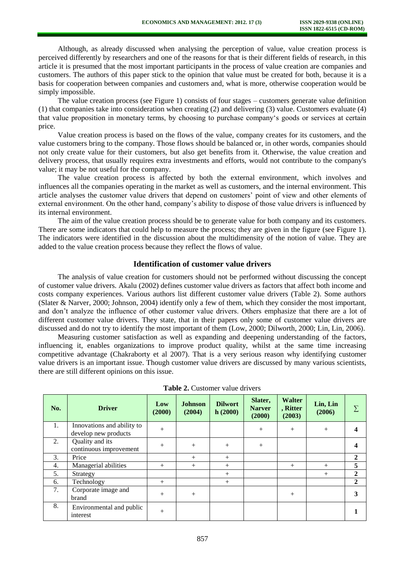Although, as already discussed when analysing the perception of value, value creation process is perceived differently by researchers and one of the reasons for that is their different fields of research, in this article it is presumed that the most important participants in the process of value creation are companies and customers. The authors of this paper stick to the opinion that value must be created for both, because it is a basis for cooperation between companies and customers and, what is more, otherwise cooperation would be simply impossible.

The value creation process (see Figure 1) consists of four stages – customers generate value definition (1) that companies take into consideration when creating (2) and delivering (3) value. Customers evaluate (4) that value proposition in monetary terms, by choosing to purchase company's goods or services at certain price.

Value creation process is based on the flows of the value, company creates for its customers, and the value customers bring to the company. Those flows should be balanced or, in other words, companies should not only create value for their customers, but also get benefits from it. Otherwise, the value creation and delivery process, that usually requires extra investments and efforts, would not contribute to the company's value; it may be not useful for the company.

The value creation process is affected by both the external environment, which involves and influences all the companies operating in the market as well as customers, and the internal environment. This article analyses the customer value drivers that depend on customers' point of view and other elements of external environment. On the other hand, company's ability to dispose of those value drivers is influenced by its internal environment.

The aim of the value creation process should be to generate value for both company and its customers. There are some indicators that could help to measure the process; they are given in the figure (see Figure 1). The indicators were identified in the discussion about the multidimensity of the notion of value. They are added to the value creation process because they reflect the flows of value.

## **Identification of customer value drivers**

The analysis of value creation for customers should not be performed without discussing the concept of customer value drivers. Akalu (2002) defines customer value drivers as factors that affect both income and costs company experiences. Various authors list different customer value drivers (Table 2). Some authors (Slater & Narver, 2000; Johnson, 2004) identify only a few of them, which they consider the most important, and don't analyze the influence of other customer value drivers. Others emphasize that there are a lot of different customer value drivers. They state, that in their papers only some of customer value drivers are discussed and do not try to identify the most important of them (Low, 2000; Dilworth, 2000; Lin, Lin, 2006).

Measuring customer satisfaction as well as expanding and deepening understanding of the factors, influencing it, enables organizations to improve product quality, whilst at the same time increasing competitive advantage (Chakraborty et al 2007). That is a very serious reason why identifying customer value drivers is an important issue. Though customer value drivers are discussed by many various scientists, there are still different opinions on this issue.

| No. | <b>Driver</b>                                      | Low<br>(2000) | <b>Johnson</b><br>(2004) | <b>Dilwort</b><br>h(2000) | Slater,<br><b>Narver</b><br>(2000) | <b>Walter</b><br>, Ritter<br>(2003) | Lin, Lin<br>(2006) |              |
|-----|----------------------------------------------------|---------------|--------------------------|---------------------------|------------------------------------|-------------------------------------|--------------------|--------------|
| 1.  | Innovations and ability to<br>develop new products | $+$           |                          |                           | $+$                                | $+$                                 | $^{+}$             |              |
| 2.  | Quality and its<br>continuous improvement          | $+$           | $+$                      | $+$                       | $^{+}$                             |                                     |                    |              |
| 3.  | Price                                              |               | $^{+}$                   | $^{+}$                    |                                    |                                     |                    | $\mathbf{2}$ |
| 4.  | Managerial abilities                               | $^{+}$        | $^{+}$                   | $+$                       |                                    | $^{+}$                              | $^{+}$             | 5            |
| 5.  | Strategy                                           |               |                          | $^{+}$                    |                                    |                                     | $+$                | $\mathbf{2}$ |
| 6.  | Technology                                         | $^{+}$        |                          | $^{+}$                    |                                    |                                     |                    | $\mathbf{2}$ |
| 7.  | Corporate image and<br>brand                       | $+$           | $+$                      |                           |                                    | $+$                                 |                    |              |
| 8.  | Environmental and public<br>interest               | $^{+}$        |                          |                           |                                    |                                     |                    |              |

**Table 2.** Customer value drivers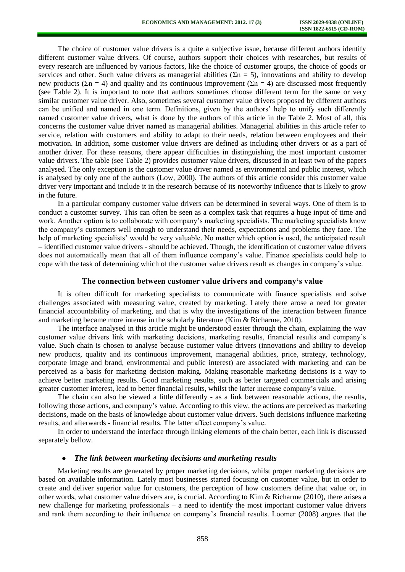The choice of customer value drivers is a quite a subjective issue, because different authors identify different customer value drivers. Of course, authors support their choices with researches, but results of every research are influenced by various factors, like the choice of customer groups, the choice of goods or services and other. Such value drivers as managerial abilities ( $\Sigma n = 5$ ), innovations and ability to develop new products ( $\Sigma$ n = 4) and quality and its continuous improvement ( $\Sigma$ n = 4) are discussed most frequently (see Table 2). It is important to note that authors sometimes choose different term for the same or very similar customer value driver. Also, sometimes several customer value drivers proposed by different authors can be unified and named in one term. Definitions, given by the authors' help to unify such differently named customer value drivers, what is done by the authors of this article in the Table 2. Most of all, this concerns the customer value driver named as managerial abilities. Managerial abilities in this article refer to service, relation with customers and ability to adapt to their needs, relation between employees and their motivation. In addition, some customer value drivers are defined as including other drivers or as a part of another driver. For these reasons, there appear difficulties in distinguishing the most important customer value drivers. The table (see Table 2) provides customer value drivers, discussed in at least two of the papers analysed. The only exception is the customer value driver named as environmental and public interest, which is analysed by only one of the authors (Low, 2000). The authors of this article consider this customer value driver very important and include it in the research because of its noteworthy influence that is likely to grow in the future.

In a particular company customer value drivers can be determined in several ways. One of them is to conduct a customer survey. This can often be seen as a complex task that requires a huge input of time and work. Another option is to collaborate with company's marketing specialists. The marketing specialists know the company's customers well enough to understand their needs, expectations and problems they face. The help of marketing specialists' would be very valuable. No matter which option is used, the anticipated result – identified customer value drivers - should be achieved. Though, the identification of customer value drivers does not automatically mean that all of them influence company's value. Finance specialists could help to cope with the task of determining which of the customer value drivers result as changes in company's value.

## **The connection between customer value drivers and company's value**

It is often difficult for marketing specialists to communicate with finance specialists and solve challenges associated with measuring value, created by marketing. Lately there arose a need for greater financial accountability of marketing, and that is why the investigations of the interaction between finance and marketing became more intense in the scholarly literature (Kim & Richarme, 2010).

The interface analysed in this article might be understood easier through the chain, explaining the way customer value drivers link with marketing decisions, marketing results, financial results and company's value. Such chain is chosen to analyse because customer value drivers (innovations and ability to develop new products, quality and its continuous improvement, managerial abilities, price, strategy, technology, corporate image and brand, environmental and public interest) are associated with marketing and can be perceived as a basis for marketing decision making. Making reasonable marketing decisions is a way to achieve better marketing results. Good marketing results, such as better targeted commercials and arising greater customer interest, lead to better financial results, whilst the latter increase company's value.

The chain can also be viewed a little differently - as a link between reasonable actions, the results, following those actions, and company's value. According to this view, the actions are perceived as marketing decisions, made on the basis of knowledge about customer value drivers. Such decisions influence marketing results, and afterwards - financial results. The latter affect company's value.

In order to understand the interface through linking elements of the chain better, each link is discussed separately bellow.

#### *The link between marketing decisions and marketing results*   $\bullet$

Marketing results are generated by proper marketing decisions, whilst proper marketing decisions are based on available information. Lately most businesses started focusing on customer value, but in order to create and deliver superior value for customers, the perception of how customers define that value or, in other words, what customer value drivers are, is crucial. According to Kim & Richarme (2010), there arises a new challenge for marketing professionals – a need to identify the most important customer value drivers and rank them according to their influence on company's financial results. Loomer (2008) argues that the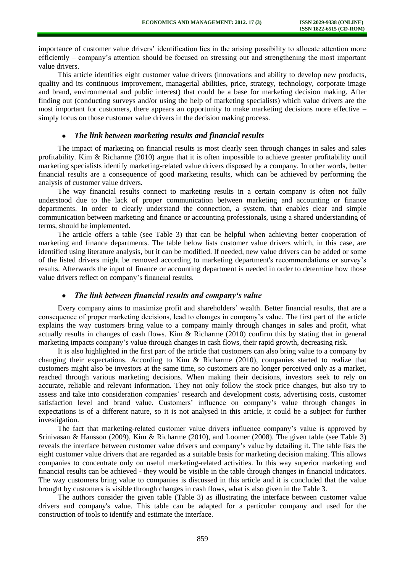importance of customer value drivers' identification lies in the arising possibility to allocate attention more efficiently – company's attention should be focused on stressing out and strengthening the most important value drivers.

This article identifies eight customer value drivers (innovations and ability to develop new products, quality and its continuous improvement, managerial abilities, price, strategy, technology, corporate image and brand, environmental and public interest) that could be a base for marketing decision making. After finding out (conducting surveys and/or using the help of marketing specialists) which value drivers are the most important for customers, there appears an opportunity to make marketing decisions more effective – simply focus on those customer value drivers in the decision making process.

## *The link between marketing results and financial results*

The impact of marketing on financial results is most clearly seen through changes in sales and sales profitability. Kim & Richarme (2010) argue that it is often impossible to achieve greater profitability until marketing specialists identify marketing-related value drivers disposed by a company. In other words, better financial results are a consequence of good marketing results, which can be achieved by performing the analysis of customer value drivers.

The way financial results connect to marketing results in a certain company is often not fully understood due to the lack of proper communication between marketing and accounting or finance departments. In order to clearly understand the connection, a system, that enables clear and simple communication between marketing and finance or accounting professionals, using a shared understanding of terms, should be implemented.

The article offers a table (see Table 3) that can be helpful when achieving better cooperation of marketing and finance departments. The table below lists customer value drivers which, in this case, are identified using literature analysis, but it can be modified. If needed, new value drivers can be added or some of the listed drivers might be removed according to marketing department's recommendations or survey's results. Afterwards the input of finance or accounting department is needed in order to determine how those value drivers reflect on company's financial results.

### *The link between financial results and company's value*  $\bullet$

Every company aims to maximize profit and shareholders' wealth. Better financial results, that are a consequence of proper marketing decisions, lead to changes in company's value. The first part of the article explains the way customers bring value to a company mainly through changes in sales and profit, what actually results in changes of cash flows. Kim & Richarme (2010) confirm this by stating that in general marketing impacts company's value through changes in cash flows, their rapid growth, decreasing risk.

It is also highlighted in the first part of the article that customers can also bring value to a company by changing their expectations. According to Kim & Richarme (2010), companies started to realize that customers might also be investors at the same time, so customers are no longer perceived only as a market, reached through various marketing decisions. When making their decisions, investors seek to rely on accurate, reliable and relevant information. They not only follow the stock price changes, but also try to assess and take into consideration companies' research and development costs, advertising costs, customer satisfaction level and brand value. Customers' influence on company's value through changes in expectations is of a different nature, so it is not analysed in this article, it could be a subject for further investigation.

The fact that marketing-related customer value drivers influence company's value is approved by Srinivasan & Hansson (2009), Kim & Richarme (2010), and Loomer (2008). The given table (see Table 3) reveals the interface between customer value drivers and company's value by detailing it. The table lists the eight customer value drivers that are regarded as a suitable basis for marketing decision making. This allows companies to concentrate only on useful marketing-related activities. In this way superior marketing and financial results can be achieved - they would be visible in the table through changes in financial indicators. The way customers bring value to companies is discussed in this article and it is concluded that the value brought by customers is visible through changes in cash flows, what is also given in the Table 3.

The authors consider the given table (Table 3) as illustrating the interface between customer value drivers and company's value. This table can be adapted for a particular company and used for the construction of tools to identify and estimate the interface.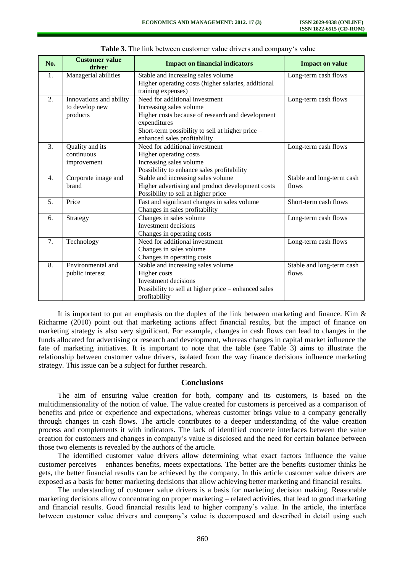| No.           | <b>Customer value</b><br>driver | <b>Impact on financial indicators</b>                | <b>Impact on value</b>    |
|---------------|---------------------------------|------------------------------------------------------|---------------------------|
| 1.            | Managerial abilities            | Stable and increasing sales volume                   | Long-term cash flows      |
|               |                                 | Higher operating costs (higher salaries, additional  |                           |
|               |                                 | training expenses)                                   |                           |
| 2.            | Innovations and ability         | Need for additional investment                       | Long-term cash flows      |
|               | to develop new                  | Increasing sales volume                              |                           |
|               | products                        | Higher costs because of research and development     |                           |
|               |                                 | expenditures                                         |                           |
|               |                                 | Short-term possibility to sell at higher price -     |                           |
|               |                                 | enhanced sales profitability                         |                           |
| $\mathcal{F}$ | Quality and its                 | Need for additional investment                       | Long-term cash flows      |
|               | continuous                      | Higher operating costs                               |                           |
|               | improvement                     | Increasing sales volume                              |                           |
|               |                                 | Possibility to enhance sales profitability           |                           |
| 4.            | Corporate image and             | Stable and increasing sales volume                   | Stable and long-term cash |
|               | brand                           | Higher advertising and product development costs     | flows                     |
|               |                                 | Possibility to sell at higher price                  |                           |
| 5.            | Price                           | Fast and significant changes in sales volume         | Short-term cash flows     |
|               |                                 | Changes in sales profitability                       |                           |
| 6.            | Strategy                        | Changes in sales volume                              | Long-term cash flows      |
|               |                                 | Investment decisions                                 |                           |
|               |                                 | Changes in operating costs                           |                           |
| 7.            | Technology                      | Need for additional investment                       | Long-term cash flows      |
|               |                                 | Changes in sales volume                              |                           |
|               |                                 | Changes in operating costs                           |                           |
| 8.            | Environmental and               | Stable and increasing sales volume                   | Stable and long-term cash |
|               | public interest                 | Higher costs                                         | flows                     |
|               |                                 | Investment decisions                                 |                           |
|               |                                 | Possibility to sell at higher price - enhanced sales |                           |
|               |                                 | profitability                                        |                           |

**Table 3.** The link between customer value drivers and company's value

It is important to put an emphasis on the duplex of the link between marketing and finance. Kim  $\&$ Richarme (2010) point out that marketing actions affect financial results, but the impact of finance on marketing strategy is also very significant. For example, changes in cash flows can lead to changes in the funds allocated for advertising or research and development, whereas changes in capital market influence the fate of marketing initiatives. It is important to note that the table (see Table 3) aims to illustrate the relationship between customer value drivers, isolated from the way finance decisions influence marketing strategy. This issue can be a subject for further research.

## **Conclusions**

The aim of ensuring value creation for both, company and its customers, is based on the multidimensionality of the notion of value. The value created for customers is perceived as a comparison of benefits and price or experience and expectations, whereas customer brings value to a company generally through changes in cash flows. The article contributes to a deeper understanding of the value creation process and complements it with indicators. The lack of identified concrete interfaces between the value creation for customers and changes in company's value is disclosed and the need for certain balance between those two elements is revealed by the authors of the article.

The identified customer value drivers allow determining what exact factors influence the value customer perceives – enhances benefits, meets expectations. The better are the benefits customer thinks he gets, the better financial results can be achieved by the company. In this article customer value drivers are exposed as a basis for better marketing decisions that allow achieving better marketing and financial results.

The understanding of customer value drivers is a basis for marketing decision making. Reasonable marketing decisions allow concentrating on proper marketing – related activities, that lead to good marketing and financial results. Good financial results lead to higher company's value. In the article, the interface between customer value drivers and company's value is decomposed and described in detail using such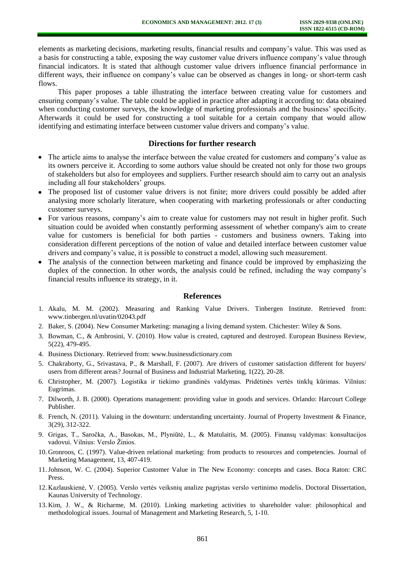elements as marketing decisions, marketing results, financial results and company's value. This was used as a basis for constructing a table, exposing the way customer value drivers influence company's value through financial indicators. It is stated that although customer value drivers influence financial performance in different ways, their influence on company's value can be observed as changes in long- or short-term cash flows.

This paper proposes a table illustrating the interface between creating value for customers and ensuring company's value. The table could be applied in practice after adapting it according to: data obtained when conducting customer surveys, the knowledge of marketing professionals and the business' specificity. Afterwards it could be used for constructing a tool suitable for a certain company that would allow identifying and estimating interface between customer value drivers and company's value.

## **Directions for further research**

- The article aims to analyse the interface between the value created for customers and company's value as its owners perceive it. According to some authors value should be created not only for those two groups of stakeholders but also for employees and suppliers. Further research should aim to carry out an analysis including all four stakeholders' groups.
- The proposed list of customer value drivers is not finite; more drivers could possibly be added after analysing more scholarly literature, when cooperating with marketing professionals or after conducting customer surveys.
- For various reasons, company's aim to create value for customers may not result in higher profit. Such situation could be avoided when constantly performing assessment of whether company's aim to create value for customers is beneficial for both parties - customers and business owners. Taking into consideration different perceptions of the notion of value and detailed interface between customer value drivers and company's value, it is possible to construct a model, allowing such measurement.
- The analysis of the connection between marketing and finance could be improved by emphasizing the duplex of the connection. In other words, the analysis could be refined, including the way company's financial results influence its strategy, in it.

## **References**

- 1. Akalu, M. M. (2002). Measuring and Ranking Value Drivers. Tinbergen Institute. Retrieved from: [www.tinbergen.nl/uvatin/02043.pdf](http://www.tinbergen.nl/uvatin/02043.pdf)
- 2. Baker, S. (2004). New Consumer Marketing: managing a living demand system. Chichester: Wiley & Sons.
- 3. Bowman, C., & Ambrosini, V. (2010). How value is created, captured and destroyed. European Business Review, 5(22), 479-495.
- 4. Business Dictionary. Retrieved from: [www.businessdictionary.com](http://www.businessdictionary.com/)
- 5. Chakraborty, G., Srivastava, P., & Marshall, F. (2007). Are drivers of customer satisfaction different for buyers/ users from different areas? Journal of Business and Industrial Marketing, 1(22), 20-28.
- 6. Christopher, M. (2007). Logistika ir tiekimo grandinės valdymas. Pridėtinės vertės tinklų kūrimas. Vilnius: Eugrimas.
- 7. Dilworth, J. B. (2000). Operations management: providing value in goods and services. Orlando: Harcourt College Publisher.
- 8. French, N. (2011). Valuing in the downturn: understanding uncertainty. Journal of Property Investment & Finance, 3(29), 312-322.
- 9. Grigas, T., Saročka, A., Basokas, M., Plyniūtė, L., & Matulaitis, M. (2005). Finansų valdymas: konsultacijos vadovui. Vilnius: Verslo Žinios.
- 10. Gronroos, C. (1997). Value-driven relational marketing: from products to resources and competencies. Journal of Marketing Management, 13, 407-419.
- 11.Johnson, W. C. (2004). Superior Customer Value in The New Economy: concepts and cases. Boca Raton: CRC Press.
- 12. Kazlauskienė, V. (2005). Verslo vertės veiksnių analize pagrįstas verslo vertinimo modelis. Doctoral Dissertation, Kaunas University of Technology.
- 13. Kim, J. W., & Richarme, M. (2010). Linking marketing activities to shareholder value: philosophical and methodological issues. Journal of Management and Marketing Research, 5, 1-10.